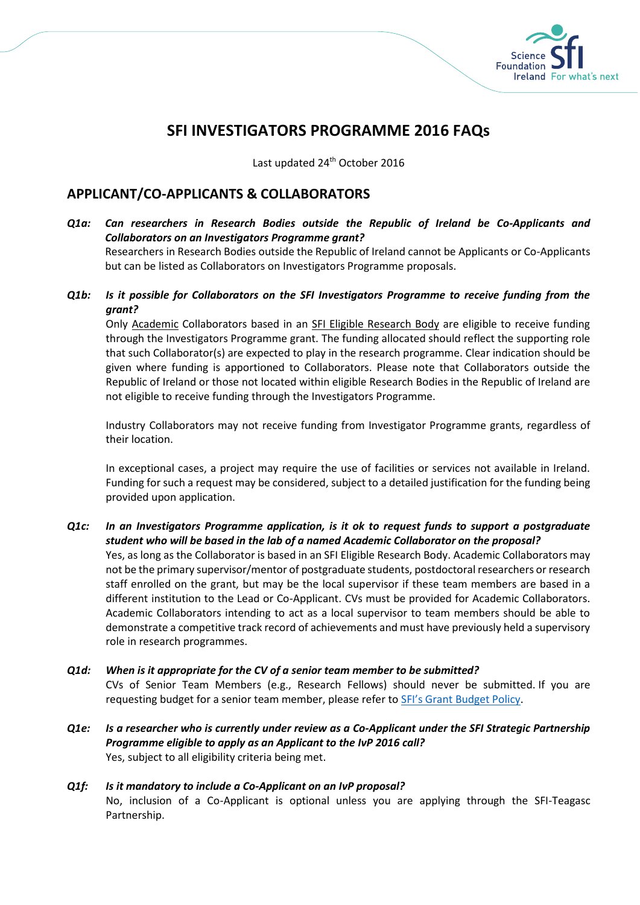

# **SFI INVESTIGATORS PROGRAMME 2016 FAQs**

Last updated 24<sup>th</sup> October 2016

# **APPLICANT/CO-APPLICANTS & COLLABORATORS**

- *Q1a: Can researchers in Research Bodies outside the Republic of Ireland be Co-Applicants and Collaborators on an Investigators Programme grant?* Researchers in Research Bodies outside the Republic of Ireland cannot be Applicants or Co-Applicants but can be listed as Collaborators on Investigators Programme proposals.
- *Q1b: Is it possible for Collaborators on the SFI Investigators Programme to receive funding from the grant?*

Only Academic Collaborators based in an SFI Eligible Research Body are eligible to receive funding through the Investigators Programme grant. The funding allocated should reflect the supporting role that such Collaborator(s) are expected to play in the research programme. Clear indication should be given where funding is apportioned to Collaborators. Please note that Collaborators outside the Republic of Ireland or those not located within eligible Research Bodies in the Republic of Ireland are not eligible to receive funding through the Investigators Programme.

Industry Collaborators may not receive funding from Investigator Programme grants, regardless of their location.

In exceptional cases, a project may require the use of facilities or services not available in Ireland. Funding for such a request may be considered, subject to a detailed justification for the funding being provided upon application.

### *Q1c: In an Investigators Programme application, is it ok to request funds to support a postgraduate student who will be based in the lab of a named Academic Collaborator on the proposal?*

Yes, as long as the Collaborator is based in an SFI Eligible Research Body. Academic Collaborators may not be the primary supervisor/mentor of postgraduate students, postdoctoral researchers or research staff enrolled on the grant, but may be the local supervisor if these team members are based in a different institution to the Lead or Co-Applicant. CVs must be provided for Academic Collaborators. Academic Collaborators intending to act as a local supervisor to team members should be able to demonstrate a competitive track record of achievements and must have previously held a supervisory role in research programmes.

### *Q1d: When is it appropriate for the CV of a senior team member to be submitted?*

CVs of Senior Team Members (e.g., Research Fellows) should never be submitted. If you are requesting budget for a senior team member, please refer to [SFI's Grant Budget Policy](http://www.sfi.ie/funding/sfi-policies-and-guidance/sfi-general-terms-and-conditions/index.xml).

*Q1e: Is a researcher who is currently under review as a Co-Applicant under the SFI Strategic Partnership Programme eligible to apply as an Applicant to the IvP 2016 call?* Yes, subject to all eligibility criteria being met.

### *Q1f: Is it mandatory to include a Co-Applicant on an IvP proposal?* No, inclusion of a Co-Applicant is optional unless you are applying through the SFI-Teagasc Partnership.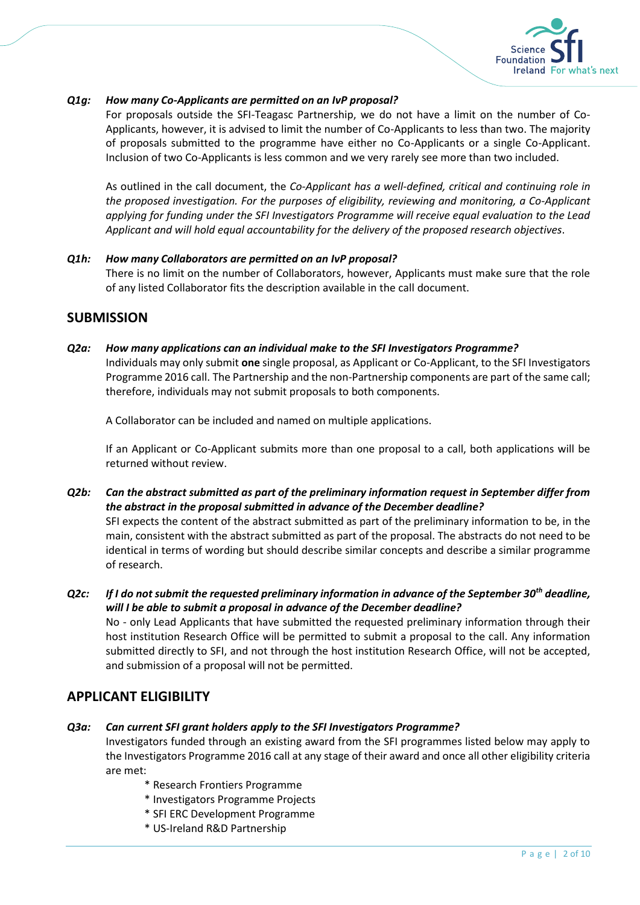

### *Q1g: How many Co-Applicants are permitted on an IvP proposal?*

For proposals outside the SFI-Teagasc Partnership, we do not have a limit on the number of Co-Applicants, however, it is advised to limit the number of Co-Applicants to less than two. The majority of proposals submitted to the programme have either no Co-Applicants or a single Co-Applicant. Inclusion of two Co-Applicants is less common and we very rarely see more than two included.

As outlined in the call document, the *Co-Applicant has a well-defined, critical and continuing role in the proposed investigation. For the purposes of eligibility, reviewing and monitoring, a Co-Applicant applying for funding under the SFI Investigators Programme will receive equal evaluation to the Lead Applicant and will hold equal accountability for the delivery of the proposed research objectives*.

### *Q1h: How many Collaborators are permitted on an IvP proposal?* There is no limit on the number of Collaborators, however, Applicants must make sure that the role of any listed Collaborator fits the description available in the call document.

## **SUBMISSION**

*Q2a: How many applications can an individual make to the SFI Investigators Programme?* Individuals may only submit **one** single proposal, as Applicant or Co-Applicant, to the SFI Investigators Programme 2016 call. The Partnership and the non-Partnership components are part of the same call; therefore, individuals may not submit proposals to both components.

A Collaborator can be included and named on multiple applications.

If an Applicant or Co-Applicant submits more than one proposal to a call, both applications will be returned without review.

- *Q2b: Can the abstract submitted as part of the preliminary information request in September differ from the abstract in the proposal submitted in advance of the December deadline?* SFI expects the content of the abstract submitted as part of the preliminary information to be, in the main, consistent with the abstract submitted as part of the proposal. The abstracts do not need to be identical in terms of wording but should describe similar concepts and describe a similar programme of research.
- *Q2c: If I do not submit the requested preliminary information in advance of the September 30th deadline, will I be able to submit a proposal in advance of the December deadline?* No - only Lead Applicants that have submitted the requested preliminary information through their host institution Research Office will be permitted to submit a proposal to the call. Any information submitted directly to SFI, and not through the host institution Research Office, will not be accepted,

# **APPLICANT ELIGIBILITY**

*Q3a: Can current SFI grant holders apply to the SFI Investigators Programme?*

Investigators funded through an existing award from the SFI programmes listed below may apply to the Investigators Programme 2016 call at any stage of their award and once all other eligibility criteria are met:

\* Research Frontiers Programme

and submission of a proposal will not be permitted.

- \* Investigators Programme Projects
- \* SFI ERC Development Programme
- \* US-Ireland R&D Partnership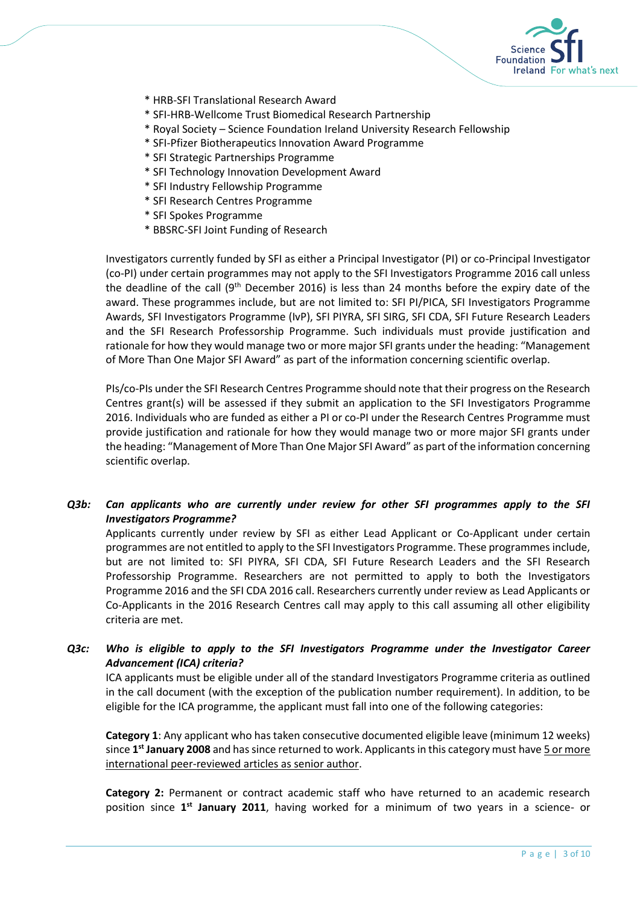

- \* HRB-SFI Translational Research Award
- \* SFI-HRB-Wellcome Trust Biomedical Research Partnership
- \* Royal Society Science Foundation Ireland University Research Fellowship
- \* SFI-Pfizer Biotherapeutics Innovation Award Programme
- \* SFI Strategic Partnerships Programme
- \* SFI Technology Innovation Development Award
- \* SFI Industry Fellowship Programme
- \* SFI Research Centres Programme
- \* SFI Spokes Programme
- \* BBSRC-SFI Joint Funding of Research

Investigators currently funded by SFI as either a Principal Investigator (PI) or co-Principal Investigator (co-PI) under certain programmes may not apply to the SFI Investigators Programme 2016 call unless the deadline of the call  $(9<sup>th</sup>$  December 2016) is less than 24 months before the expiry date of the award. These programmes include, but are not limited to: SFI PI/PICA, SFI Investigators Programme Awards, SFI Investigators Programme (IvP), SFI PIYRA, SFI SIRG, SFI CDA, SFI Future Research Leaders and the SFI Research Professorship Programme. Such individuals must provide justification and rationale for how they would manage two or more major SFI grants under the heading: "Management of More Than One Major SFI Award" as part of the information concerning scientific overlap.

PIs/co-PIs under the SFI Research Centres Programme should note that their progress on the Research Centres grant(s) will be assessed if they submit an application to the SFI Investigators Programme 2016. Individuals who are funded as either a PI or co-PI under the Research Centres Programme must provide justification and rationale for how they would manage two or more major SFI grants under the heading: "Management of More Than One Major SFI Award" as part of the information concerning scientific overlap.

### *Q3b: Can applicants who are currently under review for other SFI programmes apply to the SFI Investigators Programme?*

Applicants currently under review by SFI as either Lead Applicant or Co-Applicant under certain programmes are not entitled to apply to the SFI Investigators Programme. These programmes include, but are not limited to: SFI PIYRA, SFI CDA, SFI Future Research Leaders and the SFI Research Professorship Programme. Researchers are not permitted to apply to both the Investigators Programme 2016 and the SFI CDA 2016 call. Researchers currently under review as Lead Applicants or Co-Applicants in the 2016 Research Centres call may apply to this call assuming all other eligibility criteria are met.

### *Q3c: Who is eligible to apply to the SFI Investigators Programme under the Investigator Career Advancement (ICA) criteria?*

ICA applicants must be eligible under all of the standard Investigators Programme criteria as outlined in the call document (with the exception of the publication number requirement). In addition, to be eligible for the ICA programme, the applicant must fall into one of the following categories:

**Category 1**: Any applicant who has taken consecutive documented eligible leave (minimum 12 weeks) since 1<sup>st</sup> January 2008 and has since returned to work. Applicants in this category must have 5 or more international peer-reviewed articles as senior author.

**Category 2:** Permanent or contract academic staff who have returned to an academic research position since 1<sup>st</sup> January 2011, having worked for a minimum of two years in a science- or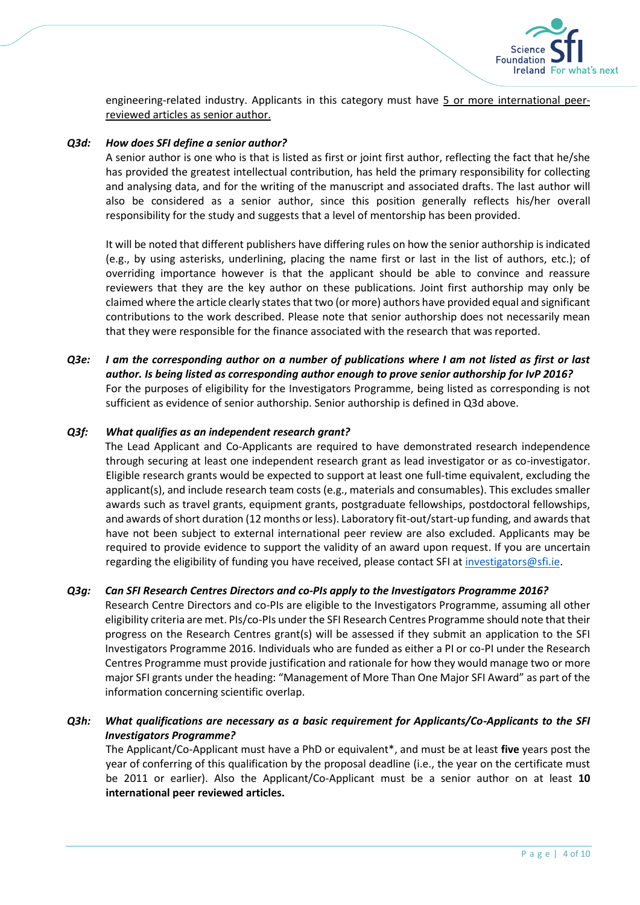

engineering-related industry. Applicants in this category must have 5 or more international peerreviewed articles as senior author.

#### *Q3d: How does SFI define a senior author?*

A senior author is one who is that is listed as first or joint first author, reflecting the fact that he/she has provided the greatest intellectual contribution, has held the primary responsibility for collecting and analysing data, and for the writing of the manuscript and associated drafts. The last author will also be considered as a senior author, since this position generally reflects his/her overall responsibility for the study and suggests that a level of mentorship has been provided.

It will be noted that different publishers have differing rules on how the senior authorship is indicated (e.g., by using asterisks, underlining, placing the name first or last in the list of authors, etc.); of overriding importance however is that the applicant should be able to convince and reassure reviewers that they are the key author on these publications. Joint first authorship may only be claimed where the article clearly states that two (or more) authors have provided equal and significant contributions to the work described. Please note that senior authorship does not necessarily mean that they were responsible for the finance associated with the research that was reported.

*Q3e: I am the corresponding author on a number of publications where I am not listed as first or last author. Is being listed as corresponding author enough to prove senior authorship for IvP 2016?* For the purposes of eligibility for the Investigators Programme, being listed as corresponding is not sufficient as evidence of senior authorship. Senior authorship is defined in Q3d above.

#### *Q3f: What qualifies as an independent research grant?*

The Lead Applicant and Co-Applicants are required to have demonstrated research independence through securing at least one independent research grant as lead investigator or as co-investigator. Eligible research grants would be expected to support at least one full-time equivalent, excluding the applicant(s), and include research team costs (e.g., materials and consumables). This excludes smaller awards such as travel grants, equipment grants, postgraduate fellowships, postdoctoral fellowships, and awards of short duration (12 months or less). Laboratory fit-out/start-up funding, and awards that have not been subject to external international peer review are also excluded. Applicants may be required to provide evidence to support the validity of an award upon request. If you are uncertain regarding the eligibility of funding you have received, please contact SFI a[t investigators@sfi.ie.](mailto:investigators@sfi.ie)

### *Q3g: Can SFI Research Centres Directors and co-PIs apply to the Investigators Programme 2016?*

Research Centre Directors and co-PIs are eligible to the Investigators Programme, assuming all other eligibility criteria are met. PIs/co-PIs under the SFI Research Centres Programme should note that their progress on the Research Centres grant(s) will be assessed if they submit an application to the SFI Investigators Programme 2016. Individuals who are funded as either a PI or co-PI under the Research Centres Programme must provide justification and rationale for how they would manage two or more major SFI grants under the heading: "Management of More Than One Major SFI Award" as part of the information concerning scientific overlap.

### *Q3h: What qualifications are necessary as a basic requirement for Applicants/Co-Applicants to the SFI Investigators Programme?*

The Applicant/Co-Applicant must have a PhD or equivalent\*, and must be at least **five** years post the year of conferring of this qualification by the proposal deadline (i.e., the year on the certificate must be 2011 or earlier). Also the Applicant/Co-Applicant must be a senior author on at least **10 international peer reviewed articles.**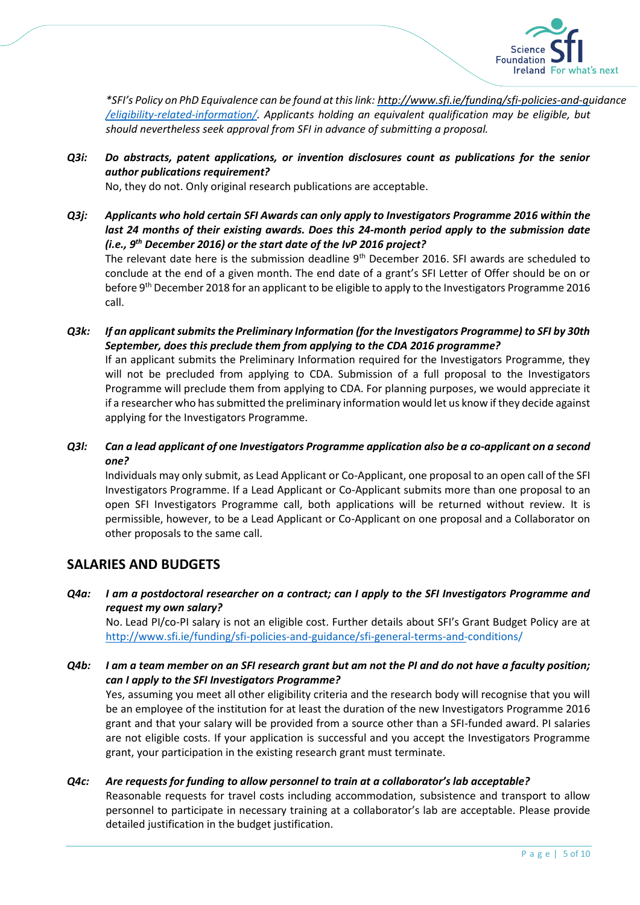

*\*SFI's Policy on PhD Equivalence can be found at this link: [http://www.sfi.ie/funding/sfi-policies-and-gu](http://www.sfi.ie/funding/sfi-policies-and-guidance/eligibility-related-information/)idance [/eligibility-related-information/](http://www.sfi.ie/funding/sfi-policies-and-guidance/eligibility-related-information/). Applicants holding an equivalent qualification may be eligible, but should nevertheless seek approval from SFI in advance of submitting a proposal.*

### *Q3i: Do abstracts, patent applications, or invention disclosures count as publications for the senior author publications requirement?*

No, they do not. Only original research publications are acceptable.

*Q3j: Applicants who hold certain SFI Awards can only apply to Investigators Programme 2016 within the last 24 months of their existing awards. Does this 24-month period apply to the submission date (i.e., 9 th December 2016) or the start date of the IvP 2016 project?* 

The relevant date here is the submission deadline 9<sup>th</sup> December 2016. SFI awards are scheduled to conclude at the end of a given month. The end date of a grant's SFI Letter of Offer should be on or before 9<sup>th</sup> December 2018 for an applicant to be eligible to apply to the Investigators Programme 2016 call.

*Q3k: If an applicant submits the Preliminary Information (for the Investigators Programme) to SFI by 30th September, does this preclude them from applying to the CDA 2016 programme?*

If an applicant submits the Preliminary Information required for the Investigators Programme, they will not be precluded from applying to CDA. Submission of a full proposal to the Investigators Programme will preclude them from applying to CDA. For planning purposes, we would appreciate it if a researcher who has submitted the preliminary information would let us know if they decide against applying for the Investigators Programme.

*Q3l: Can a lead applicant of one Investigators Programme application also be a co-applicant on a second one?*

Individuals may only submit, as Lead Applicant or Co-Applicant, one proposal to an open call of the SFI Investigators Programme. If a Lead Applicant or Co-Applicant submits more than one proposal to an open SFI Investigators Programme call, both applications will be returned without review. It is permissible, however, to be a Lead Applicant or Co-Applicant on one proposal and a Collaborator on other proposals to the same call.

### **SALARIES AND BUDGETS**

### *Q4a: I am a postdoctoral researcher on a contract; can I apply to the SFI Investigators Programme and request my own salary?*

No. Lead PI/co-PI salary is not an eligible cost. Further details about SFI's Grant Budget Policy are at [http://www.sfi.ie/funding/sfi-policies-and-guidance/sfi-general-terms-and-c](http://www.sfi.ie/funding/sfi-policies-and-guidance/sfi-general-terms-and-conditions/)onditions/

*Q4b: I am a team member on an SFI research grant but am not the PI and do not have a faculty position; can I apply to the SFI Investigators Programme?*

Yes, assuming you meet all other eligibility criteria and the research body will recognise that you will be an employee of the institution for at least the duration of the new Investigators Programme 2016 grant and that your salary will be provided from a source other than a SFI-funded award. PI salaries are not eligible costs. If your application is successful and you accept the Investigators Programme grant, your participation in the existing research grant must terminate.

### *Q4c: Are requests for funding to allow personnel to train at a collaborator's lab acceptable?*

Reasonable requests for travel costs including accommodation, subsistence and transport to allow personnel to participate in necessary training at a collaborator's lab are acceptable. Please provide detailed justification in the budget justification.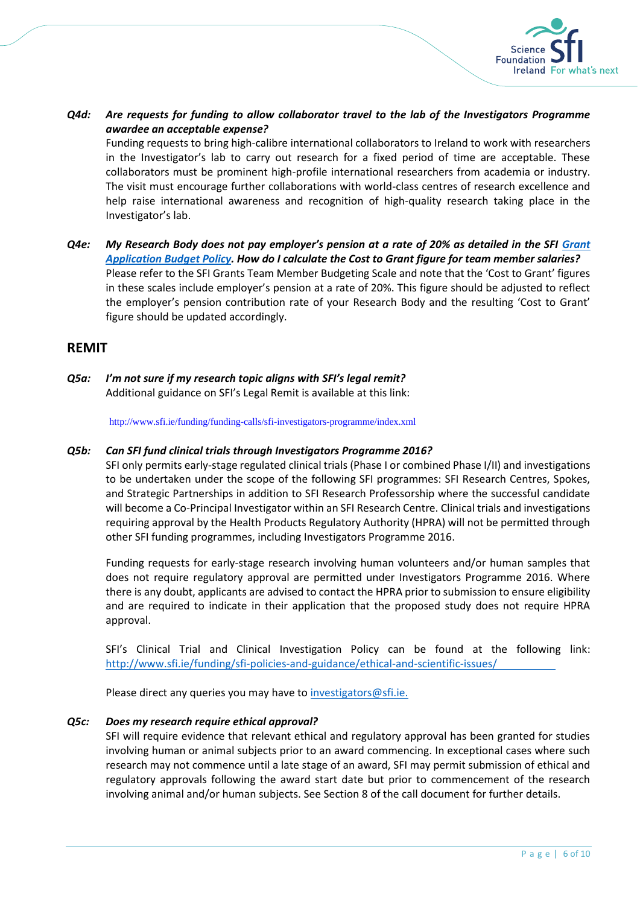

### *Q4d: Are requests for funding to allow collaborator travel to the lab of the Investigators Programme awardee an acceptable expense?*

Funding requests to bring high-calibre international collaborators to Ireland to work with researchers in the Investigator's lab to carry out research for a fixed period of time are acceptable. These collaborators must be prominent high-profile international researchers from academia or industry. The visit must encourage further collaborations with world-class centres of research excellence and help raise international awareness and recognition of high-quality research taking place in the Investigator's lab.

*Q4e: My Research Body does not pay employer's pension at a rate of 20% as detailed in the SFI [Grant](http://www.sfi.ie/funding/sfi-policies-and-guidance/sfi-general-terms-and-conditions/index.xml)  [Application Budget Policy.](http://www.sfi.ie/funding/sfi-policies-and-guidance/sfi-general-terms-and-conditions/index.xml) How do I calculate the Cost to Grant figure for team member salaries?* Please refer to the SFI Grants Team Member Budgeting Scale and note that the 'Cost to Grant' figures in these scales include employer's pension at a rate of 20%. This figure should be adjusted to reflect the employer's pension contribution rate of your Research Body and the resulting 'Cost to Grant' figure should be updated accordingly.

### **REMIT**

*Q5a: I'm not sure if my research topic aligns with SFI's legal remit?* Additional guidance on SFI's Legal Remit is available at this link:

<http://www.sfi.ie/funding/funding-calls/sfi-investigators-programme/index.xml>

#### *Q5b: Can SFI fund clinical trials through Investigators Programme 2016?*

SFI only permits early-stage regulated clinical trials (Phase I or combined Phase I/II) and investigations to be undertaken under the scope of the following SFI programmes: SFI Research Centres, Spokes, and Strategic Partnerships in addition to SFI Research Professorship where the successful candidate will become a Co-Principal Investigator within an SFI Research Centre. Clinical trials and investigations requiring approval by the Health Products Regulatory Authority (HPRA) will not be permitted through other SFI funding programmes, including Investigators Programme 2016.

Funding requests for early-stage research involving human volunteers and/or human samples that does not require regulatory approval are permitted under Investigators Programme 2016. Where there is any doubt, applicants are advised to contact the HPRA prior to submission to ensure eligibility and are required to indicate in their application that the proposed study does not require HPRA approval.

SFI's Clinical Trial and Clinical Investigation Policy can be found at the following link: <http://www.sfi.ie/funding/sfi-policies-and-guidance/ethical-and-scientific-issues/>

Please direct any queries you may have t[o investigators@sfi.ie.](mailto:investigators@sfi.ie)

#### *Q5c: Does my research require ethical approval?*

SFI will require evidence that relevant ethical and regulatory approval has been granted for studies involving human or animal subjects prior to an award commencing. In exceptional cases where such research may not commence until a late stage of an award, SFI may permit submission of ethical and regulatory approvals following the award start date but prior to commencement of the research involving animal and/or human subjects. See Section 8 of the call document for further details.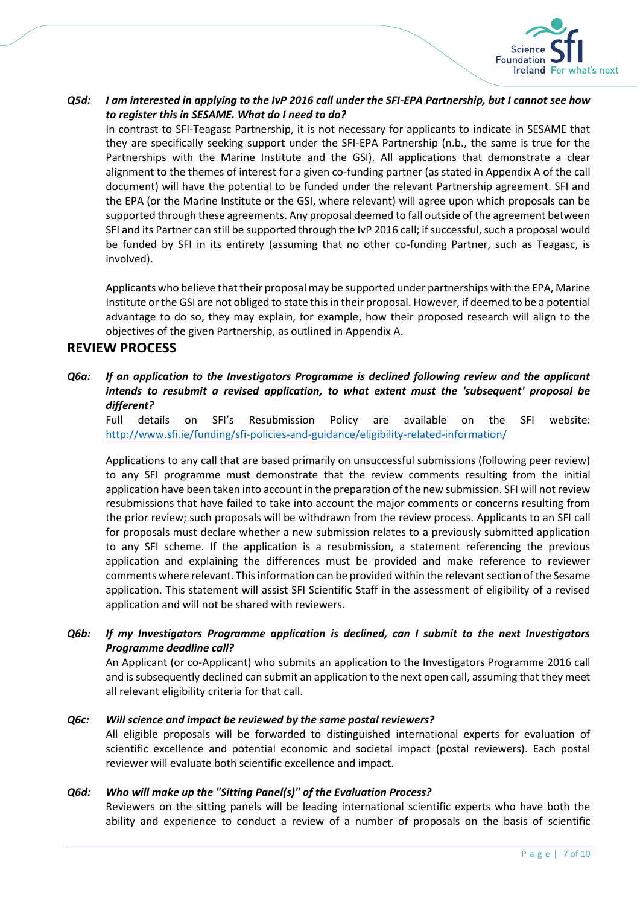

### *Q5d: I am interested in applying to the IvP 2016 call under the SFI-EPA Partnership, but I cannot see how to register this in SESAME. What do I need to do?*

In contrast to SFI-Teagasc Partnership, it is not necessary for applicants to indicate in SESAME that they are specifically seeking support under the SFI-EPA Partnership (n.b., the same is true for the Partnerships with the Marine Institute and the GSI). All applications that demonstrate a clear alignment to the themes of interest for a given co-funding partner (as stated in Appendix A of the call document) will have the potential to be funded under the relevant Partnership agreement. SFI and the EPA (or the Marine Institute or the GSI, where relevant) will agree upon which proposals can be supported through these agreements. Any proposal deemed to fall outside of the agreement between SFI and its Partner can still be supported through the IvP 2016 call; if successful, such a proposal would be funded by SFI in its entirety (assuming that no other co-funding Partner, such as Teagasc, is involved).

Applicants who believe that their proposal may be supported under partnerships with the EPA, Marine Institute or the GSI are not obliged to state this in their proposal. However, if deemed to be a potential advantage to do so, they may explain, for example, how their proposed research will align to the objectives of the given Partnership, as outlined in Appendix A.

### **REVIEW PROCESS**

### *Q6a: If an application to the Investigators Programme is declined following review and the applicant intends to resubmit a revised application, to what extent must the 'subsequent' proposal be different?*

Full details on SFI's Resubmission Policy are available on the SFI website: h[ttp://www.sfi.ie/funding/sfi-policies-and-guidance/eligibility-related-info](http://www.sfi.ie/funding/sfi-policies-and-guidance/eligibility-related-information/)rmation/

Applications to any call that are based primarily on unsuccessful submissions (following peer review) to any SFI programme must demonstrate that the review comments resulting from the initial application have been taken into account in the preparation of the new submission. SFI will not review resubmissions that have failed to take into account the major comments or concerns resulting from the prior review; such proposals will be withdrawn from the review process. Applicants to an SFI call for proposals must declare whether a new submission relates to a previously submitted application to any SFI scheme. If the application is a resubmission, a statement referencing the previous application and explaining the differences must be provided and make reference to reviewer comments where relevant. This information can be provided within the relevant section of the Sesame application. This statement will assist SFI Scientific Staff in the assessment of eligibility of a revised application and will not be shared with reviewers.

### *Q6b: If my Investigators Programme application is declined, can I submit to the next Investigators Programme deadline call?*

An Applicant (or co-Applicant) who submits an application to the Investigators Programme 2016 call and is subsequently declined can submit an application to the next open call, assuming that they meet all relevant eligibility criteria for that call.

### *Q6c: Will science and impact be reviewed by the same postal reviewers?*

All eligible proposals will be forwarded to distinguished international experts for evaluation of scientific excellence and potential economic and societal impact (postal reviewers). Each postal reviewer will evaluate both scientific excellence and impact.

### *Q6d: Who will make up the "Sitting Panel(s)" of the Evaluation Process?*

Reviewers on the sitting panels will be leading international scientific experts who have both the ability and experience to conduct a review of a number of proposals on the basis of scientific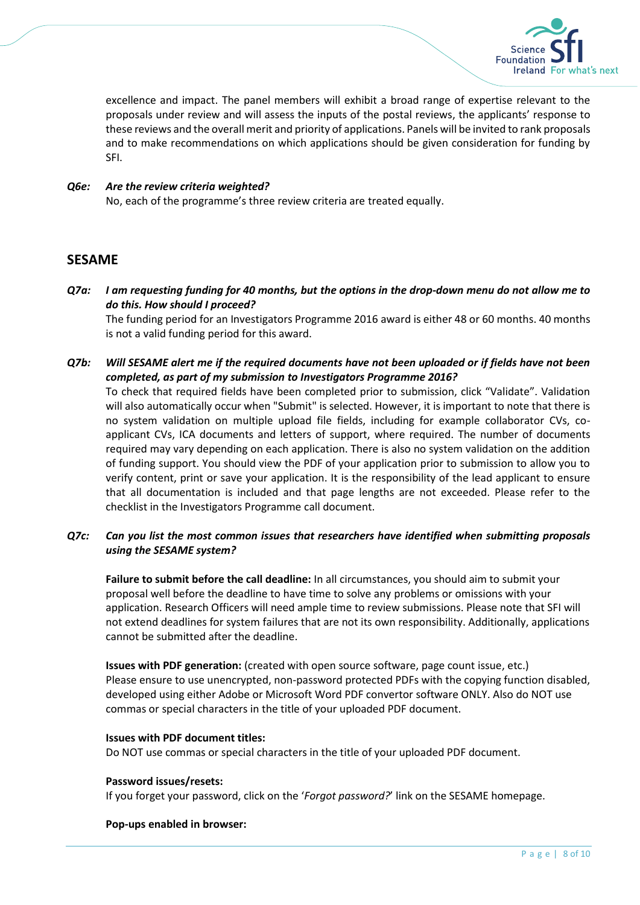

excellence and impact. The panel members will exhibit a broad range of expertise relevant to the proposals under review and will assess the inputs of the postal reviews, the applicants' response to these reviews and the overall merit and priority of applications. Panels will be invited to rank proposals and to make recommendations on which applications should be given consideration for funding by SFI.

### *Q6e: Are the review criteria weighted?*

No, each of the programme's three review criteria are treated equally.

### **SESAME**

*Q7a: I am requesting funding for 40 months, but the options in the drop-down menu do not allow me to do this. How should I proceed?*

The funding period for an Investigators Programme 2016 award is either 48 or 60 months. 40 months is not a valid funding period for this award.

*Q7b: Will SESAME alert me if the required documents have not been uploaded or if fields have not been completed, as part of my submission to Investigators Programme 2016?*

To check that required fields have been completed prior to submission, click "Validate". Validation will also automatically occur when "Submit" is selected. However, it is important to note that there is no system validation on multiple upload file fields, including for example collaborator CVs, coapplicant CVs, ICA documents and letters of support, where required. The number of documents required may vary depending on each application. There is also no system validation on the addition of funding support. You should view the PDF of your application prior to submission to allow you to verify content, print or save your application. It is the responsibility of the lead applicant to ensure that all documentation is included and that page lengths are not exceeded. Please refer to the checklist in the Investigators Programme call document.

### *Q7c: Can you list the most common issues that researchers have identified when submitting proposals using the SESAME system?*

**Failure to submit before the call deadline:** In all circumstances, you should aim to submit your proposal well before the deadline to have time to solve any problems or omissions with your application. Research Officers will need ample time to review submissions. Please note that SFI will not extend deadlines for system failures that are not its own responsibility. Additionally, applications cannot be submitted after the deadline.

**Issues with PDF generation:** (created with open source software, page count issue, etc.) Please ensure to use unencrypted, non-password protected PDFs with the copying function disabled, developed using either Adobe or Microsoft Word PDF convertor software ONLY. Also do NOT use commas or special characters in the title of your uploaded PDF document.

#### **Issues with PDF document titles:**

Do NOT use commas or special characters in the title of your uploaded PDF document.

#### **Password issues/resets:**

If you forget your password, click on the '*Forgot password?*' link on the SESAME homepage.

#### **Pop-ups enabled in browser:**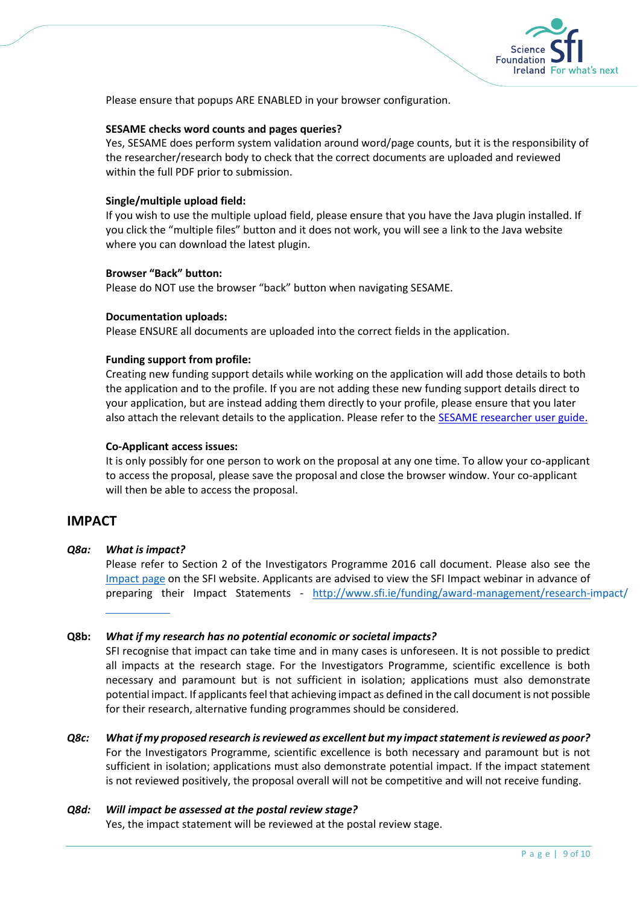

Please ensure that popups ARE ENABLED in your browser configuration.

#### **SESAME checks word counts and pages queries?**

Yes, SESAME does perform system validation around word/page counts, but it is the responsibility of the researcher/research body to check that the correct documents are uploaded and reviewed within the full PDF prior to submission.

#### **Single/multiple upload field:**

If you wish to use the multiple upload field, please ensure that you have the Java plugin installed. If you click the "multiple files" button and it does not work, you will see a link to the Java website where you can download the latest plugin.

#### **Browser "Back" button:**

Please do NOT use the browser "back" button when navigating SESAME.

#### **Documentation uploads:**

Please ENSURE all documents are uploaded into the correct fields in the application.

#### **Funding support from profile:**

Creating new funding support details while working on the application will add those details to both the application and to the profile. If you are not adding these new funding support details direct to your application, but are instead adding them directly to your profile, please ensure that you later also attach the relevant details to the application. Please refer to the [SESAME researcher user guide.](http://www.sfi.ie/resources/SESAME-User-Guide-Researcher-v-6-11.pdf)

#### **Co-Applicant access issues:**

It is only possibly for one person to work on the proposal at any one time. To allow your co-applicant to access the proposal, please save the proposal and close the browser window. Your co-applicant will then be able to access the proposal.

### **IMPACT**

*Q8a: What is impact?*

L

Please refer to Section 2 of the Investigators Programme 2016 call document. Please also see the [Impact page](http://www.sfi.ie/funding/award-management/research-impact/) on the SFI website. Applicants are advised to view the SFI Impact webinar in advance of preparing their Impact Statements - h[ttp://www.sfi.ie/funding/award-management/research-i](http://www.sfi.ie/funding/award-management/research-impact/)mpact/

### **Q8b:** *What if my research has no potential economic or societal impacts?*

SFI recognise that impact can take time and in many cases is unforeseen. It is not possible to predict all impacts at the research stage. For the Investigators Programme, scientific excellence is both necessary and paramount but is not sufficient in isolation; applications must also demonstrate potential impact. If applicants feel that achieving impact as defined in the call document is not possible for their research, alternative funding programmes should be considered.

- *Q8c: What if my proposed research is reviewed as excellent but my impact statement is reviewed as poor?* For the Investigators Programme, scientific excellence is both necessary and paramount but is not sufficient in isolation; applications must also demonstrate potential impact. If the impact statement is not reviewed positively, the proposal overall will not be competitive and will not receive funding.
- *Q8d: Will impact be assessed at the postal review stage?* Yes, the impact statement will be reviewed at the postal review stage.